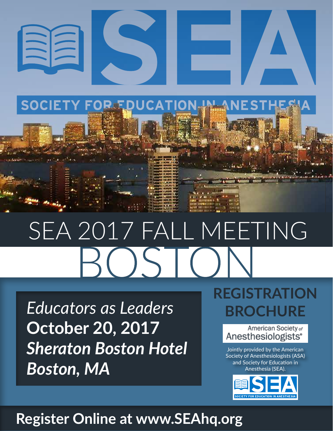

# SEA 2017 FALL MEETING

*Educators as Leaders* **October 20, 2017** *Sheraton Boston Hotel Boston, MA*

# **REGISTRATION BROCHURE**



Jointly provided by the American Society of Anesthesiologists (ASA) and Society for Education in Anesthesia (SEA).



# **Register Online at www.SEAhq.org**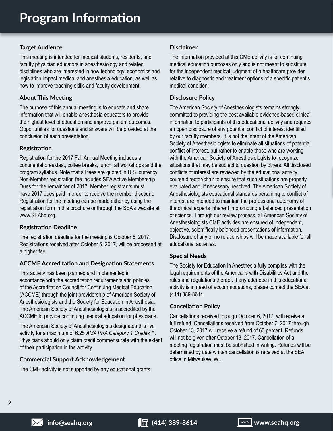# **Target Audience**

This meeting is intended for medical students, residents, and faculty physician educators in anesthesiology and related disciplines who are interested in how technology, economics and legislation impact medical and anesthesia education, as well as how to improve teaching skills and faculty development.

# **About This Meeting**

The purpose of this annual meeting is to educate and share information that will enable anesthesia educators to provide the highest level of education and improve patient outcomes. Opportunities for questions and answers will be provided at the conclusion of each presentation.

# **Registration**

Registration for the 2017 Fall Annual Meeting includes a continental breakfast, coffee breaks, lunch, all workshops and the program syllabus. Note that all fees are quoted in U.S. currency. Non-Member registration fee includes SEA Active Membership Dues for the remainder of 2017. Member registrants must have 2017 dues paid in order to receive the member discount. Registration for the meeting can be made either by using the registration form in this brochure or through the SEA's website at www.SEAhq.org.

# **Registration Deadline**

The registration deadline for the meeting is October 6, 2017. Registrations received after October 6, 2017, will be processed at a higher fee.

# **ACCME Accreditation and Designation Statements**

This activity has been planned and implemented in accordance with the accreditation requirements and policies of the Accreditation Council for Continuing Medical Education (ACCME) through the joint providership of American Society of Anesthesiologists and the Society for Education in Anesthesia. The American Society of Anesthesiologists is accredited by the ACCME to provide continuing medical education for physicians.

The American Society of Anesthesiologists designates this live activity for a maximum of 6.25 *AMA PRA Category 1 Credits*™. Physicians should only claim credit commensurate with the extent of their participation in the activity.

# **Commercial Support Acknowledgement**

The CME activity is not supported by any educational grants.

# **Disclaimer**

The information provided at this CME activity is for continuing medical education purposes only and is not meant to substitute for the independent medical judgment of a healthcare provider relative to diagnostic and treatment options of a specific patient's medical condition.

# **Disclosure Policy**

The American Society of Anesthesiologists remains strongly committed to providing the best available evidence-based clinical information to participants of this educational activity and requires an open disclosure of any potential conflict of interest identified by our faculty members. It is not the intent of the American Society of Anesthesiologists to eliminate all situations of potential conflict of interest, but rather to enable those who are working with the American Society of Anesthesiologists to recognize situations that may be subject to question by others. All disclosed conflicts of interest are reviewed by the educational activity course director/chair to ensure that such situations are properly evaluated and, if necessary, resolved. The American Society of Anesthesiologists educational standards pertaining to conflict of interest are intended to maintain the professional autonomy of the clinical experts inherent in promoting a balanced presentation of science. Through our review process, all American Society of Anesthesiologists CME activities are ensured of independent, objective, scientifically balanced presentations of information. Disclosure of any or no relationships will be made available for all educational activities.

# **Special Needs**

The Society for Education in Anesthesia fully complies with the legal requirements of the Americans with Disabilities Act and the rules and regulations thereof. If any attendee in this educational activity is in need of accommodations, please contact the SEA at (414) 389-8614.

# **Cancellation Policy**

Cancellations received through October 6, 2017, will receive a full refund. Cancellations received from October 7, 2017 through October 13, 2017 will receive a refund of 60 percent. Refunds will not be given after October 13, 2017. Cancellation of a meeting registration must be submitted in writing. Refunds will be determined by date written cancellation is received at the SEA office in Milwaukee, WI.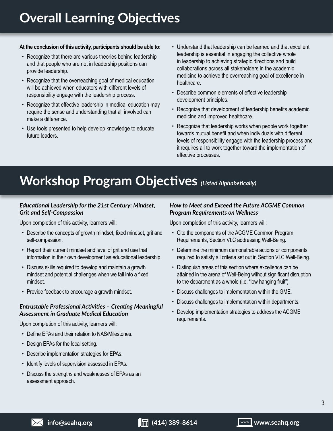# **Overall Learning Objectives**

# **At the conclusion of this activity, participants should be able to:**

- Recognize that there are various theories behind leadership and that people who are not in leadership positions can provide leadership.
- Recognize that the overreaching goal of medical education will be achieved when educators with different levels of responsibility engage with the leadership process.
- Recognize that effective leadership in medical education may require the sense and understanding that all involved can make a difference.
- Use tools presented to help develop knowledge to educate future leaders.
- Understand that leadership can be learned and that excellent leadership is essential in engaging the collective whole in leadership to achieving strategic directions and build collaborations across all stakeholders in the academic medicine to achieve the overreaching goal of excellence in healthcare.
- Describe common elements of effective leadership development principles.
- Recognize that development of leadership benefits academic medicine and improved healthcare.
- Recognize that leadership works when people work together towards mutual benefit and when individuals with different levels of responsibility engage with the leadership process and it requires all to work together toward the implementation of effective processes.

# **Workshop Program Objectives** *(Listed Alphabetically)*

# *Educational Leadership for the 21st Century: Mindset, Grit and Self-Compassion*

Upon completion of this activity, learners will:

- Describe the concepts of growth mindset, fixed mindset, grit and self-compassion.
- Report their current mindset and level of grit and use that information in their own development as educational leadership.
- Discuss skills required to develop and maintain a growth mindset and potential challenges when we fall into a fixed mindset.
- Provide feedback to encourage a growth mindset.

# *Entrustable Professional Activities – Creating Meaningful Assessment in Graduate Medical Education*

Upon completion of this activity, learners will:

- Define EPAs and their relation to NAS/Milestones.
- Design EPAs for the local setting.
- Describe implementation strategies for EPAs.
- Identify levels of supervision assessed in EPAs.
- Discuss the strengths and weaknesses of EPAs as an assessment approach.

# *How to Meet and Exceed the Future ACGME Common Program Requirements on Wellness*

Upon completion of this activity, learners will:

- Cite the components of the ACGME Common Program Requirements, Section VI.C addressing Well-Being.
- Determine the minimum demonstrable actions or components required to satisfy all criteria set out in Section VI.C Well-Being.
- Distinguish areas of this section where excellence can be attained in the arena of Well-Being without significant disruption to the department as a whole (i.e. "low hanging fruit").
- Discuss challenges to implementation within the GME.
- Discuss challenges to implementation within departments.
- Develop implementation strategies to address the ACGME requirements.

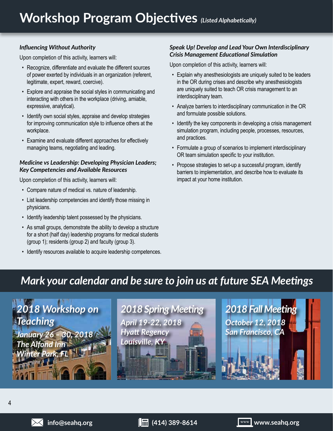# *Influencing Without Authority*

Upon completion of this activity, learners will:

- Recognize, differentiate and evaluate the different sources of power exerted by individuals in an organization (referent, legitimate, expert, reward, coercive).
- Explore and appraise the social styles in communicating and interacting with others in the workplace (driving, amiable, expressive, analytical).
- Identify own social styles, appraise and develop strategies for improving communication style to influence others at the workplace.
- Examine and evaluate different approaches for effectively managing teams, negotiating and leading.

# *Medicine vs Leadership: Developing Physician Leaders; Key Competencies and Available Resources*

Upon completion of this activity, learners will:

- Compare nature of medical vs. nature of leadership.
- List leadership competencies and identify those missing in physicians.
- Identify leadership talent possessed by the physicians.
- As small groups, demonstrate the ability to develop a structure for a short (half day) leadership programs for medical students (group 1); residents (group 2) and faculty (group 3).
- Identify resources available to acquire leadership competences.

# *Speak Up! Develop and Lead Your Own Interdisciplinary Crisis Management Educational Simulation*

Upon completion of this activity, learners will:

- Explain why anesthesiologists are uniquely suited to be leaders in the OR during crises and describe why anesthesiologists are uniquely suited to teach OR crisis management to an interdisciplinary team.
- Analyze barriers to interdisciplinary communication in the OR and formulate possible solutions.
- Identify the key components in developing a crisis management simulation program, including people, processes, resources, and practices.
- Formulate a group of scenarios to implement interdisciplinary OR team simulation specific to your institution.
- Propose strategies to set-up a successful program, identify barriers to implementation, and describe how to evaluate its impact at your home institution.

# *Mark your calendar and be sure to join us at future SEA Meetings*

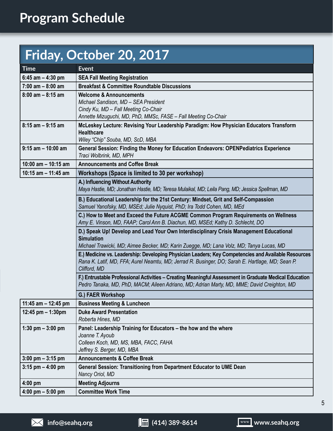# **Friday, October 20, 2017**

| <b>Time</b>           | <b>Event</b>                                                                                                                                                                                            |
|-----------------------|---------------------------------------------------------------------------------------------------------------------------------------------------------------------------------------------------------|
| 6:45 am $-$ 4:30 pm   | <b>SEA Fall Meeting Registration</b>                                                                                                                                                                    |
| $7:00$ am $-8:00$ am  | <b>Breakfast &amp; Committee Roundtable Discussions</b>                                                                                                                                                 |
| $8:00$ am $- 8:15$ am | <b>Welcome &amp; Announcements</b>                                                                                                                                                                      |
|                       | Michael Sandison, MD - SEA President                                                                                                                                                                    |
|                       | Cindy Ku, MD - Fall Meeting Co-Chair<br>Annette Mizuguchi, MD, PhD, MMSc, FASE - Fall Meeting Co-Chair                                                                                                  |
| $8:15$ am $-9:15$ am  | McLeskey Lecture: Revising Your Leadership Paradigm: How Physician Educators Transform                                                                                                                  |
|                       | <b>Healthcare</b>                                                                                                                                                                                       |
|                       | Wiley "Chip" Souba, MD, ScD, MBA                                                                                                                                                                        |
| $9:15$ am $-10:00$ am | General Session: Finding the Money for Education Endeavors: OPENPediatrics Experience                                                                                                                   |
|                       | Traci Wolbrink, MD, MPH                                                                                                                                                                                 |
| 10:00 am $-$ 10:15 am | <b>Announcements and Coffee Break</b>                                                                                                                                                                   |
| 10:15 am $-$ 11:45 am | Workshops (Space is limited to 30 per workshop)                                                                                                                                                         |
|                       | A.) Influencing Without Authority                                                                                                                                                                       |
|                       | Maya Hastie, MD; Jonathan Hastie, MD; Teresa Mulaikal, MD; Leila Pang, MD; Jessica Spellman, MD                                                                                                         |
|                       | B.) Educational Leadership for the 21st Century: Mindset, Grit and Self-Compassion                                                                                                                      |
|                       | Samuel Yanofsky, MD, MSEd; Julie Nyquist, PhD; Ira Todd Cohen, MD, MEd                                                                                                                                  |
|                       | C.) How to Meet and Exceed the Future ACGME Common Program Requirements on Wellness                                                                                                                     |
|                       | Amy E. Vinson, MD, FAAP; Carol Ann B. Diachun, MD, MSEd; Kathy D. Schlecht, DO                                                                                                                          |
|                       | D.) Speak Up! Develop and Lead Your Own Interdisciplinary Crisis Management Educational                                                                                                                 |
|                       | <b>Simulation</b>                                                                                                                                                                                       |
|                       | Michael Trawicki, MD; Aimee Becker, MD; Karin Zuegge, MD; Lana Volz, MD; Tanya Lucas, MD                                                                                                                |
|                       | E.) Medicine vs. Leadership: Developing Physician Leaders; Key Competencies and Available Resources<br>Rana K. Latif, MD, FFA; Aurel Neamtu, MD; Jerrad R. Businger, DO; Sarah E. Hartlage, MD; Sean P. |
|                       | Clifford, MD                                                                                                                                                                                            |
|                       | F.) Entrustable Professional Activities - Creating Meaningful Assessment in Graduate Medical Education                                                                                                  |
|                       | Pedro Tanaka, MD, PhD, MACM; Aileen Adriano, MD; Adrian Marty, MD, MME; David Creighton, MD                                                                                                             |
|                       | G.) FAER Workshop                                                                                                                                                                                       |
| 11:45 am - 12:45 pm   | <b>Business Meeting &amp; Luncheon</b>                                                                                                                                                                  |
| 12:45 pm $-$ 1:30pm   | <b>Duke Award Presentation</b>                                                                                                                                                                          |
|                       | Roberta Hines, MD                                                                                                                                                                                       |
| 1:30 pm $-3:00$ pm    | Panel: Leadership Training for Educators - the how and the where                                                                                                                                        |
|                       | Joanne T. Ayoub                                                                                                                                                                                         |
|                       | Colleen Koch, MD, MS, MBA, FACC, FAHA                                                                                                                                                                   |
|                       | Jeffrey S. Berger, MD, MBA                                                                                                                                                                              |
| $3:00$ pm $-3:15$ pm  | <b>Announcements &amp; Coffee Break</b>                                                                                                                                                                 |
| $3:15$ pm $-4:00$ pm  | General Session: Transitioning from Department Educator to UME Dean                                                                                                                                     |
|                       | Nancy Oriol, MD                                                                                                                                                                                         |
| 4:00 pm               | <b>Meeting Adjourns</b>                                                                                                                                                                                 |
| 4:00 pm $-$ 5:00 pm   | <b>Committee Work Time</b>                                                                                                                                                                              |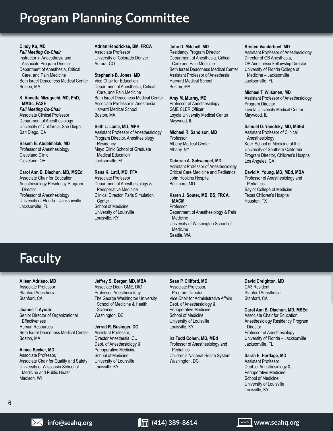# **Program Planning Committee**

#### **Cindy Ku, MD** *Fall Meeting Co-Chair* Instructor in Anaesthesia and Associate Program Director Department of Anesthesia, Critical Care, and Pain Medicine Beth Israel Deaconess Medical Center Boston, MA

#### **K. Annette Mizuguchi, MD, PhD, MMSc, FASE**

*Fall Meeting Co-Chair* Associate Clinical Professor Department of Anesthesiology University of California, San Diego San Diego, CA

# **Basem B. Abdelmalak, MD** Professor of Anesthesiology

Cleveland Clinic Cleveland, OH

#### **Carol Ann B. Diachun, MD, MSEd** Associate Chair for Education Anesthesiology Residency Program **Director** Professor of Anesthesiology University of Florida – Jacksonville Jacksonville, FL

**Adrian Hendrickse, BM, FRCA** Associate Professor University of Colorado Denver Aurora, CO

# **Stephanie B. Jones, MD**

Vice Chair for Education Department of Anesthesia, Critical Care, and Pain Medicine Beth Israel Deaconess Medical Center Associate Professor in Anesthesia Harvard Medical School Boston, MA

## **Beth L. Ladle, MD, MPH**

Assistant Professor of Anesthesiology Program Director, Anesthesiology **Residency** Mayo Clinic School of Graduate Medical Education Jacksonville, FL

# **Rana K. Latif, MD, FFA**

Associate Professor Department of Anesthesiology & Perioperative Medicine Clinical Director, Paris Simulation Center School of Medicine University of Louisville Louisville, KY

## **John D. Mitchell, MD**

Residency Program Director Department of Anesthesia, Critical Care and Pain Medicine Beth Israel Deaconess Medical Center Assistant Professor of Anesthesia Harvard Medical School Boston, MA

## **Amy M. Murray, MD**

Professor of Anesthesiology GME CLER Officer Loyola University Medical Center Maywood, IL

## **Michael R. Sandison, MD**

Professor Albany Medical Center Albany, NY

# **Deborah A. Schwengel, MD**

Assistant Professor of Anesthesiology, Critical Care Medicine and Pediatrics John Hopkins Hospital Baltimore, MD

#### **Karen J. Souter, MB, BS, FRCA, MACM**

Professor Department of Anesthesiology & Pain Medicine University of Washington School of Medicine Seattle, WA

### **Kristen Vanderhoef, MD**

Assistant Professor of Anesthesiology, Director of OB Anesthesia, OB Anesthesia Fellowship Director University of Florida College of Medicine – Jacksonville Jacksonville, FL

#### **Michael T. Wiisanen, MD**

Assistant Professor of Anesthesiology Program Director Loyola University Medical Center Maywood, IL

#### **Samuel D. Yanofsky, MD, MSEd**

Assistant Professor of Clinical Anesthesiology Keck School of Medicine of the University of Southern California Program Director, Children's Hospital Los Angeles, CA

## **David A. Young, MD, MEd, MBA**

Professor of Anesthesiology and **Pediatrics** Baylor College of Medicine Texas Children's Hospital Houston, TX

# **Faculty**

# **Aileen Adriano, MD**

Associate Professor Stanford Anesthesia Stanford, CA

#### **Joanne T. Ayoub**

Senior Director of Organizational **Effectiveness** Human Resources Beth Israel Deaconess Medical Center Boston, MA

# **Aimee Becker, MD**

Associate Professor, Associate Chair for Quality and Safety University of Wisconsin School of Medicine and Public Health Madison, WI

#### **Jeffrey S. Berger, MD, MBA** Associate Dean GME, DIO Professor, Anesthesiology The George Washington University School of Medicine & Health **Sciences** Washington, DC

## **Jerrad R. Businger, DO**

Assistant Professor, Director Anesthesia ICU Dept. of Anesthesiology & Perioperative Medicine School of Medicine, University of Louisville Louisville, KY

# **Sean P. Clifford, MD**

Associate Professor, Program Director, Vice Chair for Administrative Affairs Dept. of Anesthesiology & Perioperative Medicine School of Medicine University of Louisville Louisville, KY

#### **Ira Todd Cohen, MD, MEd** Professor of Anesthesiology and

**Pediatrics** Children's National Health System Washington, DC

#### **David Creighton, MD** CA3 Resident Stanford Anesthesia Stanford, CA

#### **Carol Ann B. Diachun, MD, MSEd**

Associate Chair for Education Anesthesiology Residency Program **Director** Professor of Anesthesiology University of Florida – Jacksonville Jacksonville, FL

#### **Sarah E. Hartlage, MD**

Assistant Professor Dept. of Anesthesiology & Perioperative Medicine School of Medicine University of Louisville Louisville, KY

**info@seahq.org (414) 389-8614 www.seahq.org**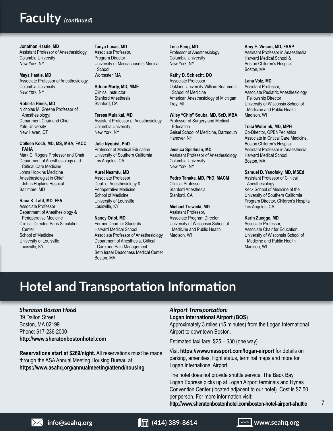# **Faculty** *(continued)*

**Jonathan Hastie, MD** Assistant Professor of Anesthesiology Columbia University New York, NY

**Maya Hastie, MD** Associate Professor of Anesthesiology Columbia University New York, NY

**Roberta Hines, MD** Nicholas M. Greene Professor of Anesthesiology; Department Chair and Chief Yale University New Haven, CT

## **Colleen Koch, MD, MS, MBA, FACC, FAHA** Mark C. Rogers Professor and Chair Department of Anesthesiology and

Critical Care Medicine Johns Hopkins Medicine Anesthesiologist in Chief, Johns Hopkins Hospital Baltimore, MD

## **Rana K. Latif, MD, FFA**

Associate Professor Department of Anesthesiology & Perioperative Medicine Clinical Director, Paris Simulation Center School of Medicine University of Louisville Louisville, KY

#### **Tanya Lucas, MD**

Associate Professor, Program Director University of Massachusetts Medical School Worcester, MA

**Adrian Marty, MD, MME** Clinical Instructor Stanford Anesthesia Stanford, CA

**Teresa Mulaikal, MD** Assistant Professor of Anesthesiology Columbia University New York, NY

# **Julie Nyquist, PhD**

Professor of Medical Education University of Southern California Los Angeles, CA

# **Aurel Neamtu, MD**

Associate Professor Dept. of Anesthesiology & Perioperative Medicine School of Medicine University of Louisville Louisville, KY

#### **Nancy Oriol, MD**

Former Dean for Students Harvard Medical School Associate Professor of Anesthesiology Department of Anesthesia, Critical Care and Pain Management Beth Israel Deaconess Medical Center Boston, MA

**Leila Pang, MD** Professor of Anesthesiology Columbia University New York, NY

**Kathy D. Schlecht, DO** Associate Professor Oakland University William Beaumont School of Medicine American Anesthesiology of Michigan Troy, MI

**Wiley "Chip" Souba, MD, ScD, MBA** Professor of Surgery and Medical **Education** Geisel School of Medicine, Dartmouth Hanover, NH

#### **Jessica Spellman, MD**

Assistant Professor of Anesthesiology Columbia University New York, NY

**Pedro Tanaka, MD, PhD, MACM** Clinical Professor Stanford Anesthesia Stanford, CA

#### **Michael Trawicki, MD**

Assistant Professor, Associate Program Director University of Wisconsin School of Medicine and Public Health Madison, WI

#### **Amy E. Vinson, MD, FAAP**

Assistant Professor in Anaesthesia Harvard Medical School & Boston Children's Hospital Boston, MA

#### **Lana Volz, MD**

Assistant Professor, Associate Pediatric Anesthesiology Fellowship Director University of Wisconsin School of Medicine and Public Health Madison, WI

#### **Traci Wolbrink, MD, MPH**

Co-Director, OPENPediatrics Associate in Critical Care Medicine, Boston Children's Hospital Assistant Professor in Anaesthesia, Harvard Medical School Boston, MA

**Samuel D. Yanofsky, MD, MSEd**

Assistant Professor of Clinical Anesthesiology Keck School of Medicine of the University of Southern California Program Director, Children's Hospital Los Angeles, CA

#### **Karin Zuegge, MD**

Associate Professor, Associate Chair for Education University of Wisconsin School of Medicine and Public Health Madison, WI

# **Hotel and Transportation Information**

# *Sheraton Boston Hotel*

39 Dalton Street Boston, MA 02199 Phone: 617-236-2000 **http://www.sheratonbostonhotel.com**

**Reservations start at \$269/night.** All reservations must be made through the ASA Annual Meeting Housing Bureau at **https://www.asahq.org/annualmeeting/attend/housing**

# *Airport Transportation:*

# **Logan International Airport (BOS)**

Approximately 3 miles (15 minutes) from the Logan International Airport to downtown Boston.

Estimated taxi fare: \$25 – \$30 (one way)

Visit **https://www.massport.com/logan-airport** for details on parking, amenities, flight status, terminal maps and more for Logan International Airport.

The hotel does not provide shuttle service. The Back Bay Logan Express picks up at Logan Airport terminals and Hynes Convention Center (located adjacent to our hotel). Cost is \$7.50 per person. For more information visit:

**http://www.sheratonbostonhotel.com/boston-hotel-airport-shuttle**



**info@seahq.org (414) 389-8614 www.seahq.org**